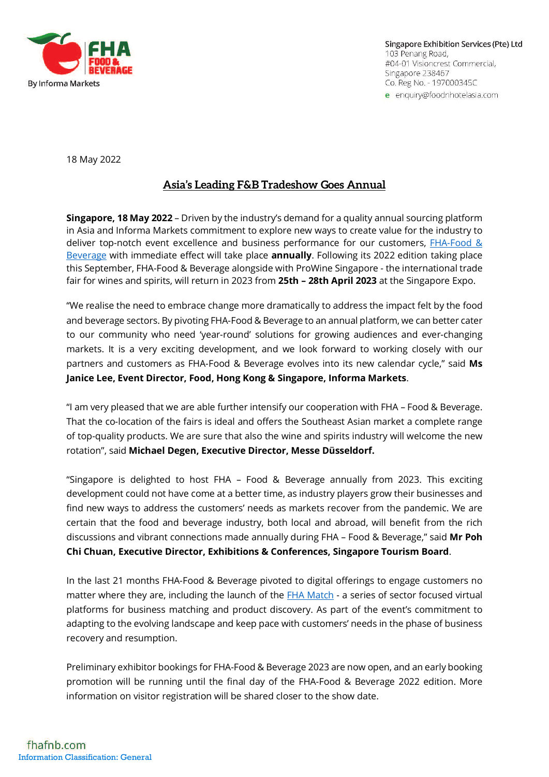

Singapore Exhibition Services (Pte) Ltd 103 Penang Road, #04-01 Visioncrest Commercial, Singapore 238467 Co. Reg No. - 197000345C e enquiry@foodnhotelasia.com

18 May 2022

## **Asia's Leading F&B Tradeshow Goes Annual**

**Singapore, 18 May 2022** – Driven by the industry's demand for a quality annual sourcing platform in Asia and Informa Markets commitment to explore new ways to create value for the industry to deliver top-notch event excellence and business performance for our customers, [FHA-Food &](https://www.fhafnb.com/)  [Beverage](https://www.fhafnb.com/) with immediate effect will take place **annually**. Following its 2022 edition taking place this September, FHA-Food & Beverage alongside with ProWine Singapore - the international trade fair for wines and spirits, will return in 2023 from **25th – 28th April 2023** at the Singapore Expo.

"We realise the need to embrace change more dramatically to address the impact felt by the food and beverage sectors. By pivoting FHA-Food & Beverage to an annual platform, we can better cater to our community who need 'year-round' solutions for growing audiences and ever-changing markets. It is a very exciting development, and we look forward to working closely with our partners and customers as FHA-Food & Beverage evolves into its new calendar cycle," said **Ms Janice Lee, Event Director, Food, Hong Kong & Singapore, Informa Markets**.

"I am very pleased that we are able further intensify our cooperation with FHA – Food & Beverage. That the co-location of the fairs is ideal and offers the Southeast Asian market a complete range of top-quality products. We are sure that also the wine and spirits industry will welcome the new rotation", said **Michael Degen, Executive Director, Messe Düsseldorf.**

"Singapore is delighted to host FHA – Food & Beverage annually from 2023. This exciting development could not have come at a better time, as industry players grow their businesses and find new ways to address the customers' needs as markets recover from the pandemic. We are certain that the food and beverage industry, both local and abroad, will benefit from the rich discussions and vibrant connections made annually during FHA – Food & Beverage," said **Mr Poh Chi Chuan, Executive Director, Exhibitions & Conferences, Singapore Tourism Board**.

In the last 21 months FHA-Food & Beverage pivoted to digital offerings to engage customers no matter where they are, including the launch of the [FHA Match](https://www.fhafnb.com/fha-match/) - a series of sector focused virtual platforms for business matching and product discovery. As part of the event's commitment to adapting to the evolving landscape and keep pace with customers' needs in the phase of business recovery and resumption.

Preliminary exhibitor bookings for FHA-Food & Beverage 2023 are now open, and an early booking promotion will be running until the final day of the FHA-Food & Beverage 2022 edition. More information on visitor registration will be shared closer to the show date.